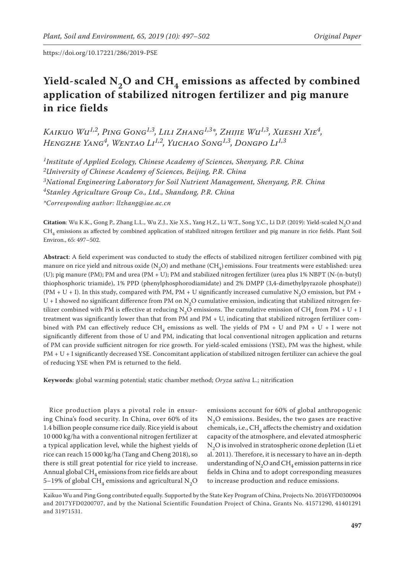# Yield-scaled N<sub>2</sub>O and CH<sub>4</sub> emissions as affected by combined **application of stabilized nitrogen fertilizer and pig manure in rice fields**

*Kaikuo Wu1,2, Ping Gong1,3, Lili Zhang1,3\*, Zhijie Wu1,3, Xueshi Xie4, Hengzhe Yang4, Wentao Li1,2, Yuchao Song1,3, Dongpo Li1,3*

*1Institute of Applied Ecology, Chinese Academy of Sciences, Shenyang, P.R. China 2University of Chinese Academy of Sciences, Beijing, P.R. China 3National Engineering Laboratory for Soil Nutrient Management, Shenyang, P.R. China 4Stanley Agriculture Group Co., Ltd., Shandong, P.R. China \*Corresponding author: llzhang@iae.ac.cn*

**Citation**: Wu K.K., Gong P., Zhang L.L., Wu Z.J., Xie X.S., Yang H.Z., Li W.T., Song Y.C., Li D.P. (2019): Yield-scaled N<sub>2</sub>O and  $\rm CH_{4}$  emissions as affected by combined application of stabilized nitrogen fertilizer and pig manure in rice fields. Plant Soil Environ., 65: 497–502.

**Abstract**: A field experiment was conducted to study the effects of stabilized nitrogen fertilizer combined with pig manure on rice yield and nitrous oxide  $(N, O)$  and methane  $(CH_A)$  emissions. Four treatments were established: urea (U); pig manure (PM); PM and urea (PM + U); PM and stabilized nitrogen fertilizer (urea plus 1% NBPT (N-(n-butyl) thiophosphoric triamide), 1% PPD (phenylphosphorodiamidate) and 2% DMPP (3,4-dimethylpyrazole phosphate)) (PM + U + I). In this study, compared with PM, PM + U significantly increased cumulative N<sub>2</sub>O emission, but PM +  $U + I$  showed no significant difference from PM on N<sub>2</sub>O cumulative emission, indicating that stabilized nitrogen fertilizer combined with PM is effective at reducing N<sub>2</sub>O emissions. The cumulative emission of CH<sub>4</sub> from PM + U + I treatment was significantly lower than that from PM and PM + U, indicating that stabilized nitrogen fertilizer combined with PM can effectively reduce CH<sub>4</sub> emissions as well. The yields of PM + U and PM + U + I were not significantly different from those of U and PM, indicating that local conventional nitrogen application and returns of PM can provide sufficient nitrogen for rice growth. For yield-scaled emissions (YSE), PM was the highest, while PM + U + I significantly decreased YSE. Concomitant application of stabilized nitrogen fertilizer can achieve the goal of reducing YSE when PM is returned to the field.

**Keywords**: global warming potential; static chamber method; *Oryza sativa* L.; nitrification

Rice production plays a pivotal role in ensuring China's food security. In China, over 60% of its 1.4 billion people consume rice daily. Rice yield is about 10 000 kg/ha with a conventional nitrogen fertilizer at a typical application level, while the highest yields of rice can reach 15 000 kg/ha (Tang and Cheng 2018), so there is still great potential for rice yield to increase. Annual global  $CH<sub>4</sub>$  emissions from rice fields are about 5–19% of global CH<sub>4</sub> emissions and agricultural N<sub>2</sub>O

emissions account for 60% of global anthropogenic  $N<sub>2</sub>O$  emissions. Besides, the two gases are reactive chemicals, i.e.,  $CH<sub>4</sub>$  affects the chemistry and oxidation capacity of the atmosphere, and elevated atmospheric N<sub>2</sub>O is involved in stratospheric ozone depletion (Li et al. 2011). Therefore, it is necessary to have an in-depth understanding of  $N_2O$  and  $CH_4$  emission patterns in rice fields in China and to adopt corresponding measures to increase production and reduce emissions.

Kaikuo Wu and Ping Gong contributed equally. Supported by the State Key Program of China, Projects No. 2016YFD0300904 and 2017YFD0200707, and by the National Scientific Foundation Project of China, Grants No. 41571290, 41401291 and 31971531.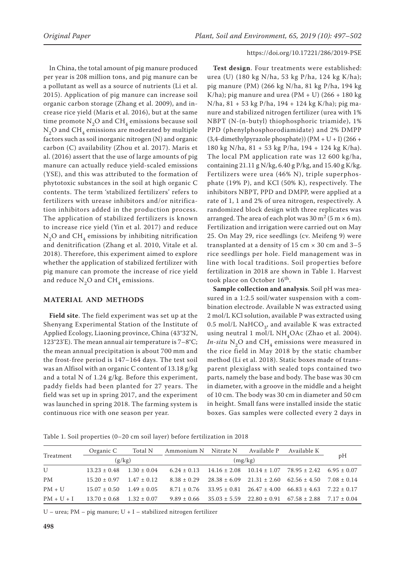In China, the total amount of pig manure produced per year is 208 million tons, and pig manure can be a pollutant as well as a source of nutrients (Li et al. 2015). Application of pig manure can increase soil organic carbon storage (Zhang et al. 2009), and increase rice yield (Maris et al. 2016), but at the same time promote  $N_2O$  and  $CH_4$  emissions because soil  $N<sub>2</sub>O$  and CH<sub>4</sub> emissions are moderated by multiple factors such as soil inorganic nitrogen (N) and organic carbon (C) availability (Zhou et al. 2017). Maris et al. (2016) assert that the use of large amounts of pig manure can actually reduce yield-scaled emissions (YSE), and this was attributed to the formation of phytotoxic substances in the soil at high organic C contents. The term 'stabilized fertilizers' refers to fertilizers with urease inhibitors and/or nitrification inhibitors added in the production process. The application of stabilized fertilizers is known to increase rice yield (Yin et al. 2017) and reduce  $N<sub>2</sub>O$  and CH<sub>4</sub> emissions by inhibiting nitrification and denitrification (Zhang et al. 2010, Vitale et al. 2018). Therefore, this experiment aimed to explore whether the application of stabilized fertilizer with pig manure can promote the increase of rice yield and reduce  $N_2O$  and  $CH_4$  emissions.

## **MATERIAL AND METHODS**

**Field site**. The field experiment was set up at the Shenyang Experimental Station of the Institute of Applied Ecology, Liaoning province, China (43°32'N, 123°23'E). The mean annual air temperature is 7–8°C; the mean annual precipitation is about 700 mm and the frost-free period is 147–164 days. The test soil was an Alfisol with an organic C content of 13.18 g/kg and a total N of 1.24 g/kg. Before this experiment, paddy fields had been planted for 27 years. The field was set up in spring 2017, and the experiment was launched in spring 2018. The farming system is continuous rice with one season per year.

**Test design**. Four treatments were established: urea (U) (180 kg N/ha, 53 kg P/ha, 124 kg K/ha); pig manure (PM) (266 kg N/ha, 81 kg P/ha, 194 kg K/ha); pig manure and urea  $(PM + U)$  (266 + 180 kg) N/ha, 81 + 53 kg P/ha, 194 + 124 kg K/ha); pig manure and stabilized nitrogen fertilizer (urea with 1% NBPT (N-(n-butyl) thiophosphoric triamide), 1% PPD (phenylphosphorodiamidate) and 2% DMPP  $(3,4$ -dimethylpyrazole phosphate))  $(PM + U + I)(266 +$ 180 kg N/ha, 81 + 53 kg P/ha, 194 + 124 kg K/ha). The local PM application rate was 12 600 kg/ha, containing 21.11 g N/kg,  $6.40$  g P/kg, and 15.40 g K/kg. Fertilizers were urea (46% N), triple superphosphate (19% P), and KCl (50% K), respectively. The inhibitors NBPT, PPD and DMPP, were applied at a rate of 1, 1 and 2% of urea nitrogen, respectively. A randomized block design with three replicates was arranged. The area of each plot was  $30 \text{ m}^2 (5 \text{ m} \times 6 \text{ m})$ . Fertilization and irrigation were carried out on May 25. On May 29, rice seedlings (cv. Meifeng 9) were transplanted at a density of 15 cm  $\times$  30 cm and 3-5 rice seedlings per hole. Field management was in line with local traditions. Soil properties before fertilization in 2018 are shown in Table 1. Harvest took place on October 16<sup>th</sup>.

**Sample collection and analysis**. Soil pH was measured in a 1:2.5 soil/water suspension with a combination electrode. Available N was extracted using 2 mol/L KCl solution, available P was extracted using 0.5 mol/L NaHCO<sub>2</sub>, and available K was extracted using neutral 1 mol/L NH<sub>4</sub>OAc (Zhao et al. 2004). *In-situ* N<sub>2</sub>O and CH<sub>4</sub> emissions were measured in the rice field in May 2018 by the static chamber method (Li et al. 2018). Static boxes made of transparent plexiglass with sealed tops contained two parts, namely the base and body. The base was 30 cm in diameter, with a groove in the middle and a height of 10 cm. The body was 30 cm in diameter and 50 cm in height. Small fans were installed inside the static boxes. Gas samples were collected every 2 days in

Table 1. Soil properties (0–20 cm soil layer) before fertilization in 2018

| Treatment    | Organic C        | Total N       | Ammonium N Nitrate N |                  | Available P                                                        | Available K                                       |               |
|--------------|------------------|---------------|----------------------|------------------|--------------------------------------------------------------------|---------------------------------------------------|---------------|
|              | (g/kg)           |               |                      | pH               |                                                                    |                                                   |               |
| $\mathbf{U}$ | $13.23 \pm 0.48$ | $1.30 + 0.04$ | $6.24 \pm 0.13$      | $14.16 \pm 2.08$ |                                                                    | $10.14 \pm 1.07$ $78.95 \pm 2.42$ $6.95 \pm 0.07$ |               |
| <b>PM</b>    | $15.20 + 0.97$   | $1.47 + 0.12$ | $8.38 \pm 0.29$      |                  | $28.38 \pm 6.09$ $21.31 \pm 2.60$ $62.56 \pm 4.50$                 |                                                   | $7.08 + 0.14$ |
| $PM + U$     | $15.07 + 0.50$   | $1.49 + 0.05$ | $8.71 + 0.76$        |                  | $33.95 \pm 0.81$ $26.47 \pm 4.00$ $66.83 \pm 4.63$ $7.22 \pm 0.17$ |                                                   |               |
| $PM + U + I$ | $13.70 \pm 0.68$ | $1.32 + 0.07$ | $9.89 \pm 0.66$      | $35.03 \pm 5.59$ |                                                                    | $22.80 \pm 0.91$ $67.58 \pm 2.88$ $7.17 \pm 0.04$ |               |

 $U$  – urea; PM – pig manure;  $U + I$  – stabilized nitrogen fertilizer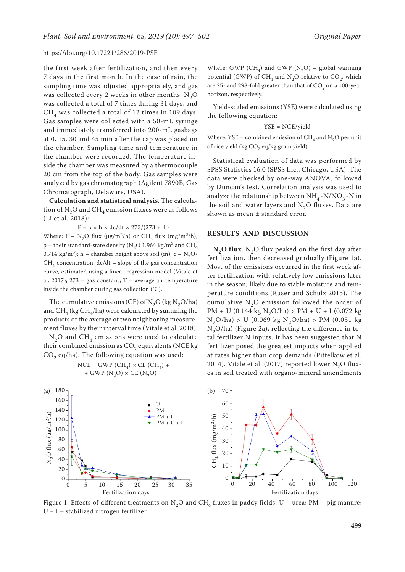the first week after fertilization, and then every 7 days in the first month. In the case of rain, the sampling time was adjusted appropriately, and gas was collected every 2 weeks in other months.  $N_2O$ was collected a total of 7 times during 31 days, and  $CH<sub>4</sub>$  was collected a total of 12 times in 109 days. Gas samples were collected with a 50-mL syringe and immediately transferred into 200-mL gasbags at 0, 15, 30 and 45 min after the cap was placed on the chamber. Sampling time and temperature in the chamber were recorded. The temperature inside the chamber was measured by a thermocouple 20 cm from the top of the body. Gas samples were analyzed by gas chromatograph (Agilent 7890B, Gas Chromatograph, Delaware, USA).

**Calculation and statistical analysis**. The calculation of  $N_2O$  and  $CH_4$  emission fluxes were as follows (Li et al. 2018):

$$
F = \rho \times h \times dc/dt \times 273/(273 + T)
$$

Where: F – N<sub>2</sub>O flux ( $\mu$ g/m<sup>2</sup>/h) or CH<sub>4</sub> flux (mg/m<sup>2</sup>/h); ρ – their standard-state density (N<sub>2</sub>O 1.964 kg/m<sup>3</sup> and CH<sub>4</sub> 0.714 kg/m<sup>3</sup>); h – chamber height above soil (m); c – N<sub>2</sub>O/  $CH<sub>A</sub>$  concentration; dc/dt – slope of the gas concentration curve, estimated using a linear regression model (Vitale et al. 2017); 273 – gas constant; T – average air temperature inside the chamber during gas collection (°C).

The cumulative emissions (CE) of  $N_2O$  (kg  $N_2O/ha$ ) and  $CH_{4}$  (kg  $CH_{4}$ /ha) were calculated by summing the products of the average of two neighboring measurement fluxes by their interval time (Vitale et al. 2018).

 $N_2O$  and  $CH_4$  emissions were used to calculate their combined emission as  $CO<sub>2</sub>$  equivalents (NCE kg  $CO<sub>2</sub>$  eq/ha). The following equation was used:

$$
\begin{aligned} \text{NCE} &= \text{GWP} \ (\text{CH}_4) \times \text{CE} \ (\text{CH}_4) \ + \\ &+ \text{GWP} \ (\text{N}_2\text{O}) \times \text{CE} \ (\text{N}_2\text{O}) \end{aligned}
$$

Where: GWP (CH<sub>4</sub>) and GWP (N<sub>2</sub>O) – global warming potential (GWP) of CH<sub>4</sub> and N<sub>2</sub>O relative to CO<sub>2</sub>, which are 25- and 298-fold greater than that of  $CO<sub>2</sub>$  on a 100-year horizon, respectively.

Yield-scaled emissions (YSE) were calculated using the following equation:

$$
YSE = NCE/yield
$$

Where: YSE – combined emission of  $CH<sub>4</sub>$  and N<sub>2</sub>O per unit of rice yield (kg  $CO<sub>2</sub>$  eq/kg grain yield).

Statistical evaluation of data was performed by SPSS Statistics 16.0 (SPSS Inc., Chicago, USA). The data were checked by one-way ANOVA, followed by Duncan's test. Correlation analysis was used to analyze the relationship between  $\mathrm{NH}_4^+$  -N/NO  $_3^-$  -N in the soil and water layers and  $N<sub>2</sub>O$  fluxes. Data are shown as mean ± standard error.

#### **RESULTS AND DISCUSSION**

 $N<sub>2</sub>O$  flux. N<sub>2</sub>O flux peaked on the first day after fertilization, then decreased gradually (Figure 1a). Most of the emissions occurred in the first week after fertilization with relatively low emissions later in the season, likely due to stable moisture and temperature conditions (Ruser and Schulz 2015). The cumulative  $N_2O$  emission followed the order of PM + U (0.144 kg N<sub>2</sub>O/ha) > PM + U + I (0.072 kg  $N_2O/ha$  > U (0.069 kg  $N_2O/ha$ ) > PM (0.051 kg  $N_2O/ha$ ) (Figure 2a), reflecting the difference in total fertilizer N inputs. It has been suggested that N fertilizer posed the greatest impacts when applied at rates higher than crop demands (Pittelkow et al. 2014). Vitale et al. (2017) reported lower N<sub>2</sub>O fluxes in soil treated with organo-mineral amendments



Figure 1. Effects of different treatments on N<sub>2</sub>O and CH<sub>4</sub> fluxes in paddy fields. U – urea; PM – pig manure; U + I – stabilized nitrogen fertilizer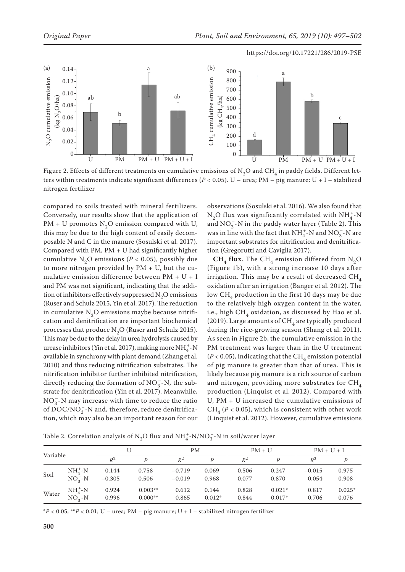

Figure 2. Effects of different treatments on cumulative emissions of N<sub>2</sub>O and CH<sub>4</sub> in paddy fields. Different letters within treatments indicate significant differences (*P* < 0.05). U – urea; PM – pig manure; U + I – stabilized nitrogen fertilizer

compared to soils treated with mineral fertilizers. Conversely, our results show that the application of  $PM + U$  promotes N<sub>2</sub>O emission compared with U, this may be due to the high content of easily decomposable N and C in the manure (Sosulski et al. 2017). Compared with PM, PM + U had significantly higher cumulative N<sub>2</sub>O emissions ( $P < 0.05$ ), possibly due to more nitrogen provided by PM + U, but the cumulative emission difference between PM + U + I and PM was not significant, indicating that the addition of inhibitors effectively suppressed  $N_2O$  emissions (Ruser and Schulz 2015, Yin et al. 2017). The reduction in cumulative  $N<sub>2</sub>O$  emissions maybe because nitrification and denitrification are important biochemical processes that produce  $N_2O$  (Ruser and Schulz 2015). This may be due to the delay in urea hydrolysis caused by urease inhibitors (Yin et al. 2017), making more  $\mathrm{NH}_4^+$ -N available in synchrony with plant demand (Zhang et al. 2010) and thus reducing nitrification substrates. The nitrification inhibitor further inhibited nitrification, directly reducing the formation of  $NO_3^-$ -N, the substrate for denitrification (Yin et al. 2017). Meanwhile,  $NO<sub>3</sub><sup>-</sup>-N$  may increase with time to reduce the ratio of  $\mathrm{DOC}/\mathrm{NO}_3^-$ -N and, therefore, reduce denitrification, which may also be an important reason for our

observations (Sosulski et al. 2016). We also found that  $N_2O$  flux was significantly correlated with  $NH_4^+$ -N and  $\mathrm{NO_3^-}\text{-}\mathrm{N}$  in the paddy water layer (Table 2). This was in line with the fact that  $\mathrm{NH}_4^+$  -N and  $\mathrm{NO_3^-}$  -N are important substrates for nitrification and denitrification (Gregorutti and Caviglia 2017).

 $CH<sub>4</sub>$  flux. The CH<sub>4</sub> emission differed from N<sub>2</sub>O (Figure 1b), with a strong increase 10 days after irrigation. This may be a result of decreased  $\text{CH}_4$ oxidation after an irrigation (Banger et al. 2012). The low  $CH<sub>4</sub>$  production in the first 10 days may be due to the relatively high oxygen content in the water, i.e., high  $CH<sub>4</sub>$  oxidation, as discussed by Hao et al. (2019). Large amounts of  $\text{CH}_4$  are typically produced during the rice-growing season (Shang et al. 2011). As seen in Figure 2b, the cumulative emission in the PM treatment was larger than in the U treatment  $(P < 0.05)$ , indicating that the CH<sub>4</sub> emission potential of pig manure is greater than that of urea. This is likely because pig manure is a rich source of carbon and nitrogen, providing more substrates for  $CH<sub>4</sub>$ production (Linquist et al. 2012). Compared with U, PM + U increased the cumulative emissions of  $CH_4 (P < 0.05)$ , which is consistent with other work (Linquist et al. 2012). However, cumulative emissions

Table 2. Correlation analysis of  $N^2_{2}$ O flux and  $NH^+_4$ -N/NO $^-_3$ -N in soil/water layer

|          |             | U              |           | PМ       |          | $PM + U$ |          | $PM + U + I$ |          |
|----------|-------------|----------------|-----------|----------|----------|----------|----------|--------------|----------|
| Variable |             | $\mathbb{R}^2$ | D         | $R^2$    |          | $R^2$    | D        | $R^2$        |          |
| Soil     | $NH4+-N$    | 0.144          | 0.758     | $-0.719$ | 0.069    | 0.506    | 0.247    | $-0.015$     | 0.975    |
|          | $NO2-N$     | $-0.305$       | 0.506     | $-0.019$ | 0.968    | 0.077    | 0.870    | 0.054        | 0.908    |
| Water    | $NH_4^+$ -N | 0.924          | $0.003**$ | 0.612    | 0.144    | 0.828    | $0.021*$ | 0.817        | $0.025*$ |
|          | $NO2-N$     | 0.996          | $0.000**$ | 0.865    | $0.012*$ | 0.844    | $0.017*$ | 0.706        | 0.076    |

\**P* < 0.05; \*\**P* < 0.01; U – urea; PM – pig manure; U + I – stabilized nitrogen fertilizer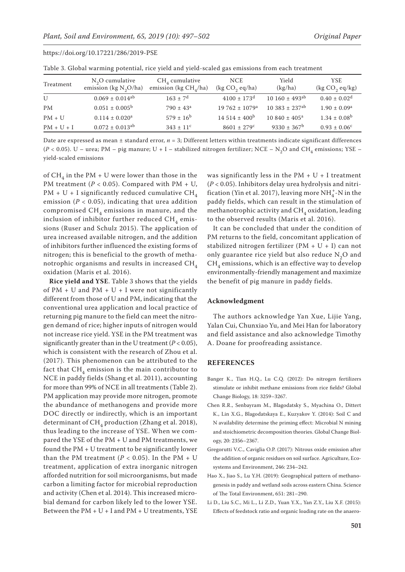| Table of Global mathing potential, field and field beated gas emissions from each treatment |                                              |                                             |                               |                                 |                                 |  |  |  |
|---------------------------------------------------------------------------------------------|----------------------------------------------|---------------------------------------------|-------------------------------|---------------------------------|---------------------------------|--|--|--|
| Treatment                                                                                   | $N2O$ cumulative<br>emission (kg $N_2O/ha$ ) | $CH4$ cumulative<br>emission (kg $CH4/ha$ ) | <b>NCE</b><br>(kg CO, eq/ha)  | Yield<br>(kg/ha)                | <b>YSE</b><br>(kg $CO$ , eq/kg) |  |  |  |
| U                                                                                           | $0.069 \pm 0.014^{ab}$                       | $163 \pm 7^{\rm d}$                         | $4100 \pm 173$ <sup>d</sup>   | $10~160 \pm 493$ <sup>ab</sup>  | $0.40 \pm 0.02$ <sup>d</sup>    |  |  |  |
| <b>PM</b>                                                                                   | $0.051 \pm 0.005^{\rm b}$                    | $790 \pm 43^{\circ}$                        | $19762 \pm 1079$ <sup>a</sup> | $10\,383 \pm 237$ <sup>ab</sup> | $1.90 \pm 0.09^{\text{a}}$      |  |  |  |
| $PM + U$                                                                                    | $0.114 \pm 0.020^a$                          | $579 \pm 16^{\rm b}$                        | $14.514 \pm 400^{\mathrm{b}}$ | $10.840 \pm 405^{\text{a}}$     | $1.34 \pm 0.08^b$               |  |  |  |
| $PM + U + I$                                                                                | $0.072 \pm 0.013^{ab}$                       | $343 \pm 11^c$                              | $8601 \pm 279$ <sup>c</sup>   | $9330 \pm 367^{\rm b}$          | $0.93 \pm 0.06^{\circ}$         |  |  |  |

https://doi.org/10.17221/286/2019-PSE

Table 3. Global warming potential, rice yield and yield-scaled gas emissions from each treatment

Date are expressed as mean ± standard error, *n* = 3; Different letters within treatments indicate significant differences  $(P < 0.05)$ . U – urea; PM – pig manure; U + I – stabilized nitrogen fertilizer; NCE – N<sub>2</sub>O and CH<sub>4</sub> emissions; YSE – yield-scaled emissions

of CH<sub>4</sub> in the PM + U were lower than those in the PM treatment ( $P < 0.05$ ). Compared with PM + U, PM + U + I significantly reduced cumulative  $CH<sub>4</sub>$ emission ( $P < 0.05$ ), indicating that urea addition compromised  $CH<sub>4</sub>$  emissions in manure, and the inclusion of inhibitor further reduced  $CH<sub>4</sub>$  emissions (Ruser and Schulz 2015). The application of urea increased available nitrogen, and the addition of inhibitors further influenced the existing forms of nitrogen; this is beneficial to the growth of methanotrophic organisms and results in increased  $\text{CH}_{4}$ oxidation (Maris et al. 2016).

**Rice yield and YSE**. Table 3 shows that the yields of  $PM + U$  and  $PM + U + I$  were not significantly different from those of U and PM, indicating that the conventional urea application and local practice of returning pig manure to the field can meet the nitrogen demand of rice; higher inputs of nitrogen would not increase rice yield. YSE in the PM treatment was significantly greater than in the U treatment  $(P < 0.05)$ , which is consistent with the research of Zhou et al. (2017). This phenomenon can be attributed to the fact that  $CH<sub>4</sub>$  emission is the main contributor to NCE in paddy fields (Shang et al. 2011), accounting for more than 99% of NCE in all treatments (Table 2). PM application may provide more nitrogen, promote the abundance of methanogens and provide more DOC directly or indirectly, which is an important determinant of  $CH<sub>4</sub>$  production (Zhang et al. 2018), thus leading to the increase of YSE. When we compared the YSE of the PM + U and PM treatments, we found the PM + U treatment to be significantly lower than the PM treatment  $(P < 0.05)$ . In the PM + U treatment, application of extra inorganic nitrogen afforded nutrition for soil microorganisms, but made carbon a limiting factor for microbial reproduction and activity (Chen et al. 2014). This increased microbial demand for carbon likely led to the lower YSE. Between the  $PM + U + I$  and  $PM + U$  treatments, YSE was significantly less in the  $PM + U + I$  treatment (*P* < 0.05). Inhibitors delay urea hydrolysis and nitrification (Yin et al. 2017), leaving more  $\mathrm{NH}_4^+$  N in the paddy fields, which can result in the stimulation of methanotrophic activity and  $CH<sub>4</sub>$  oxidation, leading to the observed results (Maris et al. 2016).

It can be concluded that under the condition of PM returns to the field, concomitant application of stabilized nitrogen fertilizer (PM + U + I) can not only guarantee rice yield but also reduce  $N_2O$  and  $CH<sub>4</sub>$  emissions, which is an effective way to develop environmentally-friendly management and maximize the benefit of pig manure in paddy fields.

#### **Acknowledgment**

The authors acknowledge Yan Xue, Lijie Yang, Yalan Cui, Chunxiao Yu, and Mei Han for laboratory and field assistance and also acknowledge Timothy A. Doane for proofreading assistance.

## **REFERENCES**

- Banger K., Tian H.Q., Lu C.Q. (2012): Do nitrogen fertilizers stimulate or inhibit methane emissions from rice fields? Global Change Biology, 18: 3259–3267.
- Chen R.R., Senbayram M., Blagodatsky S., Myachina O., Dittert K., Lin X.G., Blagodatskaya E., Kuzyakov Y. (2014): Soil C and N availability determine the priming effect: Microbial N mining and stoichiometric decomposition theories. Global Change Biology, 20: 2356–2367.
- Gregorutti V.C., Caviglia O.P. (2017): Nitrous oxide emission after the addition of organic residues on soil surface. Agriculture, Ecosystems and Environment, 246: 234–242.
- Hao X., Jiao S., Lu Y.H. (2019): Geographical pattern of methanogenesis in paddy and wetland soils across eastern China. Science of The Total Environment, 651: 281–290.
- Li D., Liu S.C., Mi L., Li Z.D., Yuan Y.X., Yan Z.Y., Liu X.F. (2015): Effects of feedstock ratio and organic loading rate on the anaero-